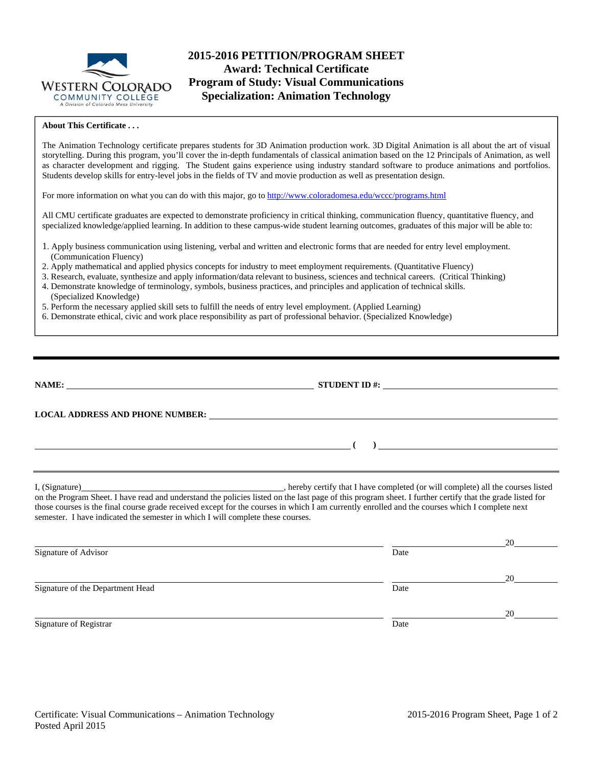

# **2015-2016 PETITION/PROGRAM SHEET Award: Technical Certificate Program of Study: Visual Communications Specialization: Animation Technology**

### **About This Certificate . . .**

The Animation Technology certificate prepares students for 3D Animation production work. 3D Digital Animation is all about the art of visual storytelling. During this program, you'll cover the in-depth fundamentals of classical animation based on the 12 Principals of Animation, as well as character development and rigging. The Student gains experience using industry standard software to produce animations and portfolios. Students develop skills for entry-level jobs in the fields of TV and movie production as well as presentation design.

For more information on what you can do with this major, go to http://www.coloradomesa.edu/wccc/programs.html

All CMU certificate graduates are expected to demonstrate proficiency in critical thinking, communication fluency, quantitative fluency, and specialized knowledge/applied learning. In addition to these campus-wide student learning outcomes, graduates of this major will be able to:

- 1. Apply business communication using listening, verbal and written and electronic forms that are needed for entry level employment. (Communication Fluency)
- 2. Apply mathematical and applied physics concepts for industry to meet employment requirements. (Quantitative Fluency)
- 3. Research, evaluate, synthesize and apply information/data relevant to business, sciences and technical careers. (Critical Thinking)
- 4. Demonstrate knowledge of terminology, symbols, business practices, and principles and application of technical skills. (Specialized Knowledge)
- 5. Perform the necessary applied skill sets to fulfill the needs of entry level employment. (Applied Learning)
- 6. Demonstrate ethical, civic and work place responsibility as part of professional behavior. (Specialized Knowledge)

|                                                                                 | STUDENT ID $\#$ :                                                                                                                                                                                                                                                                             |    |
|---------------------------------------------------------------------------------|-----------------------------------------------------------------------------------------------------------------------------------------------------------------------------------------------------------------------------------------------------------------------------------------------|----|
|                                                                                 |                                                                                                                                                                                                                                                                                               |    |
|                                                                                 | $\frac{1}{2}$ and $\frac{1}{2}$ and $\frac{1}{2}$ and $\frac{1}{2}$ and $\frac{1}{2}$ and $\frac{1}{2}$ and $\frac{1}{2}$ and $\frac{1}{2}$ and $\frac{1}{2}$ and $\frac{1}{2}$ and $\frac{1}{2}$ and $\frac{1}{2}$ and $\frac{1}{2}$ and $\frac{1}{2}$ and $\frac{1}{2}$ and $\frac{1}{2}$ a |    |
| semester. I have indicated the semester in which I will complete these courses. | those courses is the final course grade received except for the courses in which I am currently enrolled and the courses which I complete next                                                                                                                                                |    |
|                                                                                 |                                                                                                                                                                                                                                                                                               | 20 |
| Signature of Advisor                                                            | Date                                                                                                                                                                                                                                                                                          |    |
| Signature of the Department Head                                                | Date                                                                                                                                                                                                                                                                                          | 20 |
|                                                                                 |                                                                                                                                                                                                                                                                                               | 20 |
| Signature of Registrar                                                          | Date                                                                                                                                                                                                                                                                                          |    |